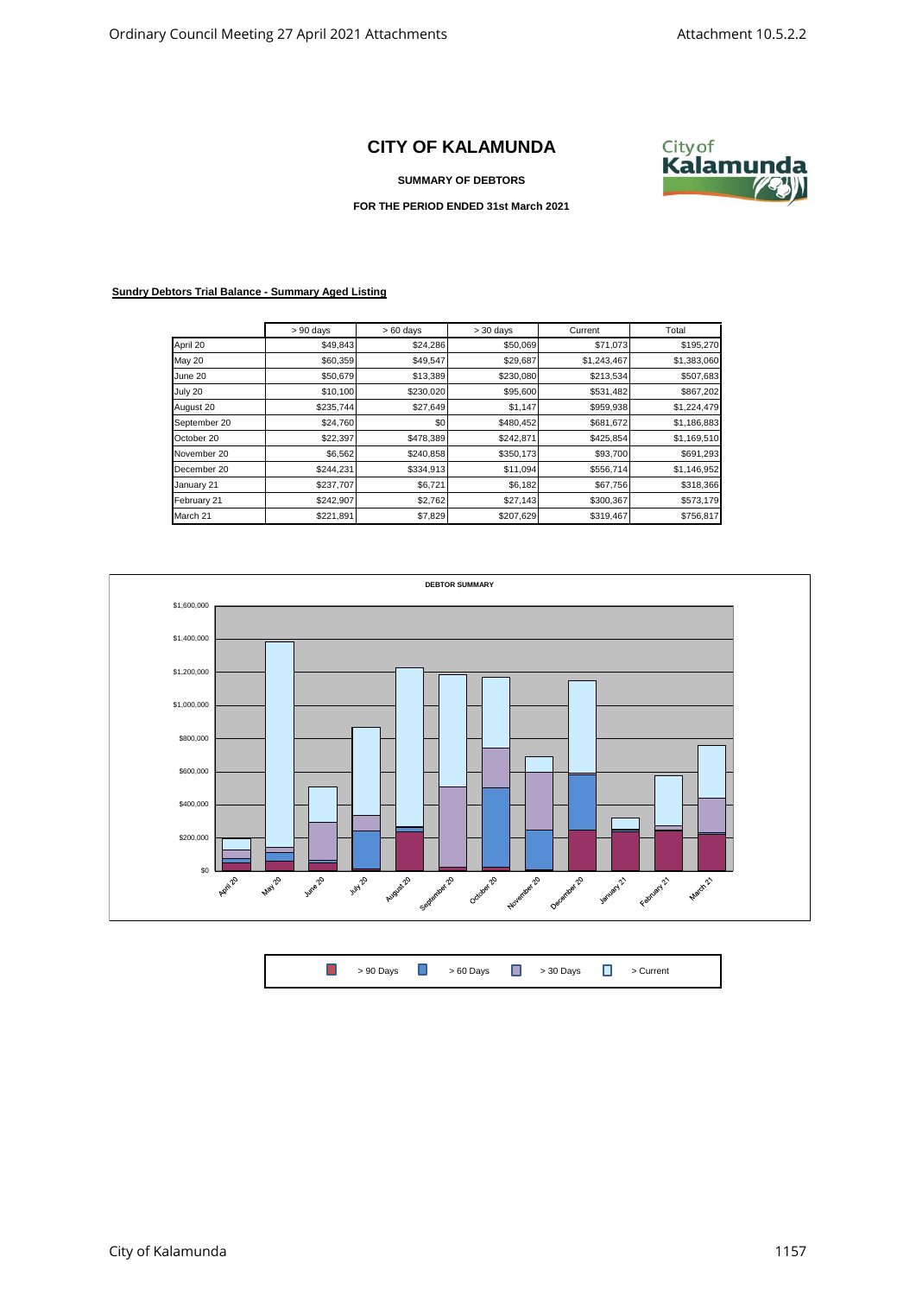## **CITY OF KALAMUNDA**

**SUMMARY OF DEBTORS**



**FOR THE PERIOD ENDED 31st March 2021**

## **Sundry Debtors Trial Balance - Summary Aged Listing**

|               | $> 90$ days | $>60$ days | $> 30$ days | Current     | Total       |
|---------------|-------------|------------|-------------|-------------|-------------|
| April 20      | \$49,843    | \$24,286   | \$50,069    | \$71,073    | \$195,270   |
| <b>May 20</b> | \$60,359    | \$49,547   | \$29,687    | \$1,243,467 | \$1,383,060 |
| June 20       | \$50,679    | \$13,389   | \$230,080   | \$213,534   | \$507,683   |
| July 20       | \$10,100    | \$230,020  | \$95,600    | \$531,482   | \$867,202   |
| August 20     | \$235,744   | \$27,649   | \$1,147     | \$959,938   | \$1,224,479 |
| September 20  | \$24,760    | \$0        | \$480,452   | \$681,672   | \$1,186,883 |
| October 20    | \$22,397    | \$478,389  | \$242,871   | \$425,854   | \$1,169,510 |
| November 20   | \$6,562     | \$240,858  | \$350,173   | \$93,700    | \$691,293   |
| December 20   | \$244,231   | \$334,913  | \$11,094    | \$556,714   | \$1,146,952 |
| January 21    | \$237,707   | \$6,721    | \$6,182     | \$67,756    | \$318,366   |
| February 21   | \$242,907   | \$2,762    | \$27,143    | \$300,367   | \$573,179   |
| March 21      | \$221,891   | \$7,829    | \$207,629   | \$319,467   | \$756,817   |



 $\Box$ > 90 Days  $\begin{array}{ccc} \hline \end{array}$  > 60 Days  $\begin{array}{ccc} \hline \end{array}$  > 30 Days  $\begin{array}{ccc} \hline \end{array}$  > Current